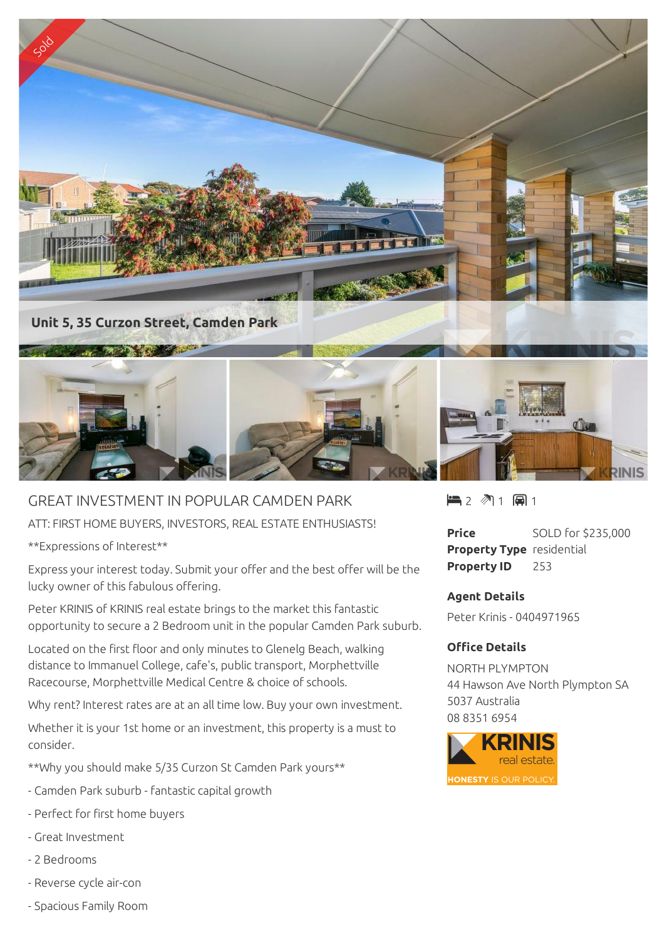

## GREAT INVESTMENT IN POPULAR CAMDEN PARK

ATT: FIRST HOME BUYERS, INVESTORS, REAL ESTATE ENTHUSIASTS!

\*\*Expressions of Interest\*\*

Express your interest today. Submit your offer and the best offer will be the lucky owner of this fabulous offering.

Peter KRINIS of KRINIS real estate brings to the market this fantastic opportunity to secure a 2 Bedroom unit in the popular Camden Park suburb.

Located on the first floor and only minutes to Glenelg Beach, walking distance to Immanuel College, cafe's, public transport, Morphettville Racecourse, Morphettville Medical Centre & choice of schools.

Why rent? Interest rates are at an all time low. Buy your own investment.

Whether it is your 1st home or an investment, this property is a must to consider.

\*\*Why you should make 5/35 Curzon St Camden Park yours\*\*

- Camden Park suburb fantastic capital growth
- Perfect for first home buyers
- Great Investment
- 2 Bedrooms
- Reverse cycle air-con
- Spacious Family Room

 $\blacksquare$  2  $\blacksquare$  1  $\blacksquare$  1

**Price** SOLD for \$235,000 **Property Type** residential **Property ID** 253

## **Agent Details**

Peter Krinis - 0404971965

## **Office Details**

NORTH PLYMPTON 44 Hawson Ave North Plympton SA 5037 Australia 08 8351 6954